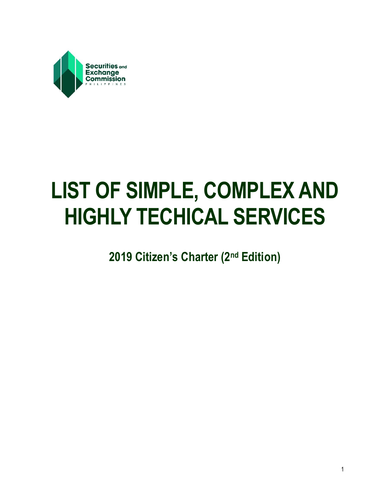

# **LIST OF SIMPLE, COMPLEX AND HIGHLY TECHICAL SERVICES**

**2019 Citizen's Charter (2nd Edition)**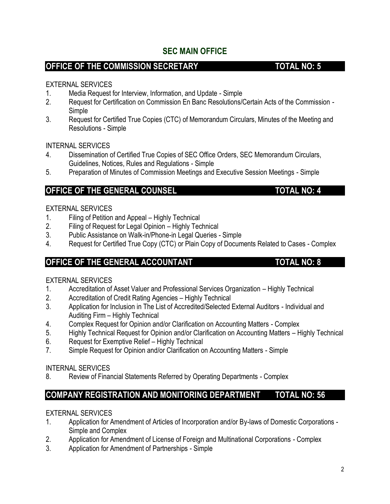# **SEC MAIN OFFICE**

# **OFFICE OF THE COMMISSION SECRETARY TOTAL NO: 5**

#### EXTERNAL SERVICES

- 1. Media Request for Interview, Information, and Update Simple
- 2. Request for Certification on Commission En Banc Resolutions/Certain Acts of the Commission Simple
- 3. Request for Certified True Copies (CTC) of Memorandum Circulars, Minutes of the Meeting and Resolutions - Simple

INTERNAL SERVICES

- 4. Dissemination of Certified True Copies of SEC Office Orders, SEC Memorandum Circulars, Guidelines, Notices, Rules and Regulations - Simple
- 5. Preparation of Minutes of Commission Meetings and Executive Session Meetings Simple

# **OFFICE OF THE GENERAL COUNSEL <b>TOTAL NO: 4**

#### EXTERNAL SERVICES

- 1. Filing of Petition and Appeal Highly Technical
- 2. Filing of Request for Legal Opinion Highly Technical
- 3. Public Assistance on Walk-in/Phone-in Legal Queries Simple
- 4. Request for Certified True Copy (CTC) or Plain Copy of Documents Related to Cases Complex

### **OFFICE OF THE GENERAL ACCOUNTANT TOTAL NO: 8**

#### EXTERNAL SERVICES

- 1. Accreditation of Asset Valuer and Professional Services Organization Highly Technical
- 2. Accreditation of Credit Rating Agencies Highly Technical
- 3. Application for Inclusion in The List of Accredited/Selected External Auditors Individual and Auditing Firm – Highly Technical
- 4. Complex Request for Opinion and/or Clarification on Accounting Matters Complex
- 5. Highly Technical Request for Opinion and/or Clarification on Accounting Matters Highly Technical
- 6. Request for Exemptive Relief Highly Technical
- 7. Simple Request for Opinion and/or Clarification on Accounting Matters Simple

#### INTERNAL SERVICES

8. Review of Financial Statements Referred by Operating Departments - Complex

# **COMPANY REGISTRATION AND MONITORING DEPARTMENT TOTAL NO: 56**

- 1. Application for Amendment of Articles of Incorporation and/or By-laws of Domestic Corporations Simple and Complex
- 2. Application for Amendment of License of Foreign and Multinational Corporations Complex
- 3. Application for Amendment of Partnerships Simple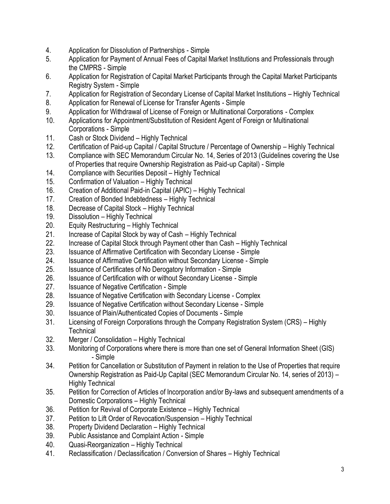- 4. Application for Dissolution of Partnerships Simple
- 5. Application for Payment of Annual Fees of Capital Market Institutions and Professionals through the CMPRS - Simple
- 6. Application for Registration of Capital Market Participants through the Capital Market Participants Registry System - Simple
- 7. Application for Registration of Secondary License of Capital Market Institutions Highly Technical
- 8. Application for Renewal of License for Transfer Agents Simple
- 9. Application for Withdrawal of License of Foreign or Multinational Corporations Complex
- 10. Applications for Appointment/Substitution of Resident Agent of Foreign or Multinational Corporations - Simple
- 11. Cash or Stock Dividend Highly Technical
- 12. Certification of Paid-up Capital / Capital Structure / Percentage of Ownership Highly Technical
- 13. Compliance with SEC Memorandum Circular No. 14, Series of 2013 (Guidelines covering the Use of Properties that require Ownership Registration as Paid-up Capital) - Simple
- 14. Compliance with Securities Deposit Highly Technical
- 15. Confirmation of Valuation Highly Technical
- 16. Creation of Additional Paid-in Capital (APIC) Highly Technical
- 17. Creation of Bonded Indebtedness Highly Technical
- 18. Decrease of Capital Stock Highly Technical
- 19. Dissolution Highly Technical
- 20. Equity Restructuring Highly Technical
- 21. Increase of Capital Stock by way of Cash Highly Technical
- 22. Increase of Capital Stock through Payment other than Cash Highly Technical
- 23. Issuance of Affirmative Certification with Secondary License Simple
- 24. Issuance of Affirmative Certification without Secondary License Simple
- 25. Issuance of Certificates of No Derogatory Information Simple
- 26. Issuance of Certification with or without Secondary License Simple
- 27. Issuance of Negative Certification Simple
- 28. Issuance of Negative Certification with Secondary License Complex
- 29. Issuance of Negative Certification without Secondary License Simple
- 30. Issuance of Plain/Authenticated Copies of Documents Simple
- 31. Licensing of Foreign Corporations through the Company Registration System (CRS) Highly **Technical**
- 32. Merger / Consolidation Highly Technical
- 33. Monitoring of Corporations where there is more than one set of General Information Sheet (GIS) - Simple
- 34. Petition for Cancellation or Substitution of Payment in relation to the Use of Properties that require Ownership Registration as Paid-Up Capital (SEC Memorandum Circular No. 14, series of 2013) – Highly Technical
- 35. Petition for Correction of Articles of Incorporation and/or By-laws and subsequent amendments of a Domestic Corporations – Highly Technical
- 36. Petition for Revival of Corporate Existence Highly Technical
- 37. Petition to Lift Order of Revocation/Suspension Highly Technical
- 38. Property Dividend Declaration Highly Technical
- 39. Public Assistance and Complaint Action Simple
- 40. Quasi-Reorganization Highly Technical
- 41. Reclassification / Declassification / Conversion of Shares Highly Technical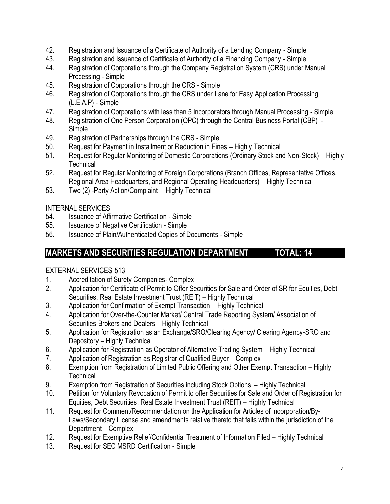- 42. Registration and Issuance of a Certificate of Authority of a Lending Company Simple
- 43. Registration and Issuance of Certificate of Authority of a Financing Company Simple
- 44. Registration of Corporations through the Company Registration System (CRS) under Manual Processing - Simple
- 45. Registration of Corporations through the CRS Simple
- 46. Registration of Corporations through the CRS under Lane for Easy Application Processing (L.E.A.P) - Simple
- 47. Registration of Corporations with less than 5 Incorporators through Manual Processing Simple
- 48. Registration of One Person Corporation (OPC) through the Central Business Portal (CBP) Simple
- 49. Registration of Partnerships through the CRS Simple
- 50. Request for Payment in Installment or Reduction in Fines Highly Technical
- 51. Request for Regular Monitoring of Domestic Corporations (Ordinary Stock and Non-Stock) Highly **Technical**
- 52. Request for Regular Monitoring of Foreign Corporations (Branch Offices, Representative Offices, Regional Area Headquarters, and Regional Operating Headquarters) – Highly Technical
- 53. Two (2) -Party Action/Complaint Highly Technical

#### INTERNAL SERVICES

- 54. Issuance of Affirmative Certification Simple
- 55. Issuance of Negative Certification Simple
- 56. Issuance of Plain/Authenticated Copies of Documents Simple

# **MARKETS AND SECURITIES REGULATION DEPARTMENT TOTAL: 14**

- 1. Accreditation of Surety Companies- Complex
- 2. Application for Certificate of Permit to Offer Securities for Sale and Order of SR for Equities, Debt Securities, Real Estate Investment Trust (REIT) – Highly Technical
- 3. Application for Confirmation of Exempt Transaction Highly Technical
- 4. Application for Over-the-Counter Market/ Central Trade Reporting System/ Association of Securities Brokers and Dealers – Highly Technical
- 5. Application for Registration as an Exchange/SRO/Clearing Agency/ Clearing Agency-SRO and Depository – Highly Technical
- 6. Application for Registration as Operator of Alternative Trading System Highly Technical
- 7. Application of Registration as Registrar of Qualified Buyer Complex
- 8. Exemption from Registration of Limited Public Offering and Other Exempt Transaction Highly Technical
- 9. Exemption from Registration of Securities including Stock Options Highly Technical
- 10. Petition for Voluntary Revocation of Permit to offer Securities for Sale and Order of Registration for Equities, Debt Securities, Real Estate Investment Trust (REIT) – Highly Technical
- 11. Request for Comment/Recommendation on the Application for Articles of Incorporation/By-Laws/Secondary License and amendments relative thereto that falls within the jurisdiction of the Department – Complex
- 12. Request for Exemptive Relief/Confidential Treatment of Information Filed Highly Technical
- 13. Request for SEC MSRD Certification Simple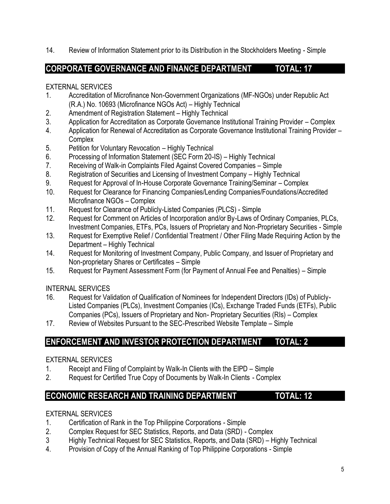14. Review of Information Statement prior to its Distribution in the Stockholders Meeting - Simple

# **CORPORATE GOVERNANCE AND FINANCE DEPARTMENT TOTAL: 17**

#### EXTERNAL SERVICES

- 1. Accreditation of Microfinance Non-Government Organizations (MF-NGOs) under Republic Act (R.A.) No. 10693 (Microfinance NGOs Act) – Highly Technical
- 2. Amendment of Registration Statement Highly Technical
- 3. Application for Accreditation as Corporate Governance Institutional Training Provider Complex
- 4. Application for Renewal of Accreditation as Corporate Governance Institutional Training Provider **Complex**
- 5. Petition for Voluntary Revocation Highly Technical
- 6. Processing of Information Statement (SEC Form 20-IS) Highly Technical
- 7. Receiving of Walk-in Complaints Filed Against Covered Companies Simple
- 8. Registration of Securities and Licensing of Investment Company Highly Technical
- 9. Request for Approval of In-House Corporate Governance Training/Seminar Complex
- 10. Request for Clearance for Financing Companies/Lending Companies/Foundations/Accredited Microfinance NGOs – Complex
- 11. Request for Clearance of Publicly-Listed Companies (PLCS) Simple
- 12. Request for Comment on Articles of Incorporation and/or By-Laws of Ordinary Companies, PLCs, Investment Companies, ETFs, PCs, Issuers of Proprietary and Non-Proprietary Securities - Simple
- 13. Request for Exemptive Relief / Confidential Treatment / Other Filing Made Requiring Action by the Department – Highly Technical
- 14. Request for Monitoring of Investment Company, Public Company, and Issuer of Proprietary and Non-proprietary Shares or Certificates – Simple
- 15. Request for Payment Assessment Form (for Payment of Annual Fee and Penalties) Simple

#### INTERNAL SERVICES

- 16. Request for Validation of Qualification of Nominees for Independent Directors (IDs) of Publicly-Listed Companies (PLCs), Investment Companies (ICs), Exchange Traded Funds (ETFs), Public Companies (PCs), Issuers of Proprietary and Non- Proprietary Securities (RIs) – Complex
- 17. Review of Websites Pursuant to the SEC-Prescribed Website Template Simple

# **ENFORCEMENT AND INVESTOR PROTECTION DEPARTMENT TOTAL: 2**

#### EXTERNAL SERVICES

- 1. Receipt and Filing of Complaint by Walk-In Clients with the EIPD Simple
- 2. Request for Certified True Copy of Documents by Walk-In Clients Complex

# **ECONOMIC RESEARCH AND TRAINING DEPARTMENT TOTAL: 12**

- 1. Certification of Rank in the Top Philippine Corporations Simple
- 2. Complex Request for SEC Statistics, Reports, and Data (SRD) Complex
- 3 Highly Technical Request for SEC Statistics, Reports, and Data (SRD) Highly Technical
- 4. Provision of Copy of the Annual Ranking of Top Philippine Corporations Simple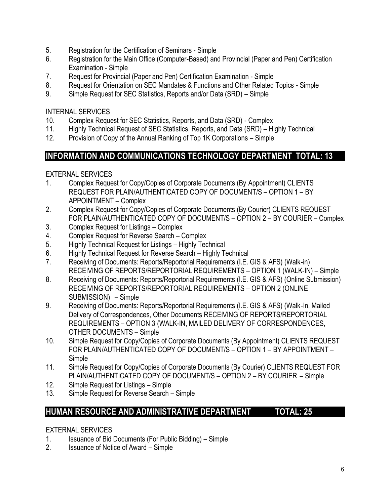- 5. Registration for the Certification of Seminars Simple
- 6. Registration for the Main Office (Computer-Based) and Provincial (Paper and Pen) Certification Examination - Simple
- 7. Request for Provincial (Paper and Pen) Certification Examination Simple
- 8. Request for Orientation on SEC Mandates & Functions and Other Related Topics Simple
- 9. Simple Request for SEC Statistics, Reports and/or Data (SRD) Simple

### INTERNAL SERVICES

- 10. Complex Request for SEC Statistics, Reports, and Data (SRD) Complex
- 11. Highly Technical Request of SEC Statistics, Reports, and Data (SRD) Highly Technical
- 12. Provision of Copy of the Annual Ranking of Top 1K Corporations Simple

# **INFORMATION AND COMMUNICATIONS TECHNOLOGY DEPARTMENT TOTAL: 13**

### EXTERNAL SERVICES

- 1. Complex Request for Copy/Copies of Corporate Documents (By Appointment) CLIENTS REQUEST FOR PLAIN/AUTHENTICATED COPY OF DOCUMENT/S – OPTION 1 – BY APPOINTMENT – Complex
- 2. Complex Request for Copy/Copies of Corporate Documents (By Courier) CLIENTS REQUEST FOR PLAIN/AUTHENTICATED COPY OF DOCUMENT/S – OPTION 2 – BY COURIER – Complex
- 3. Complex Request for Listings Complex
- 4. Complex Request for Reverse Search Complex
- 5. Highly Technical Request for Listings Highly Technical
- 6. Highly Technical Request for Reverse Search Highly Technical
- 7. Receiving of Documents: Reports/Reportorial Requirements (I.E. GIS & AFS) (Walk-in) RECEIVING OF REPORTS/REPORTORIAL REQUIREMENTS – OPTION 1 (WALK-IN) – Simple
- 8. Receiving of Documents: Reports/Reportorial Requirements (I.E. GIS & AFS) (Online Submission) RECEIVING OF REPORTS/REPORTORIAL REQUIREMENTS – OPTION 2 (ONLINE SUBMISSION) – Simple
- 9. Receiving of Documents: Reports/Reportorial Requirements (I.E. GIS & AFS) (Walk-In, Mailed Delivery of Correspondences, Other Documents RECEIVING OF REPORTS/REPORTORIAL REQUIREMENTS – OPTION 3 (WALK-IN, MAILED DELIVERY OF CORRESPONDENCES, OTHER DOCUMENTS – Simple
- 10. Simple Request for Copy/Copies of Corporate Documents (By Appointment) CLIENTS REQUEST FOR PLAIN/AUTHENTICATED COPY OF DOCUMENT/S – OPTION 1 – BY APPOINTMENT – Simple
- 11. Simple Request for Copy/Copies of Corporate Documents (By Courier) CLIENTS REQUEST FOR PLAIN/AUTHENTICATED COPY OF DOCUMENT/S – OPTION 2 – BY COURIER – Simple
- 12. Simple Request for Listings Simple
- 13. Simple Request for Reverse Search Simple

# **HUMAN RESOURCE AND ADMINISTRATIVE DEPARTMENT TOTAL: 25**

- 1. Issuance of Bid Documents (For Public Bidding) Simple
- 2. Issuance of Notice of Award Simple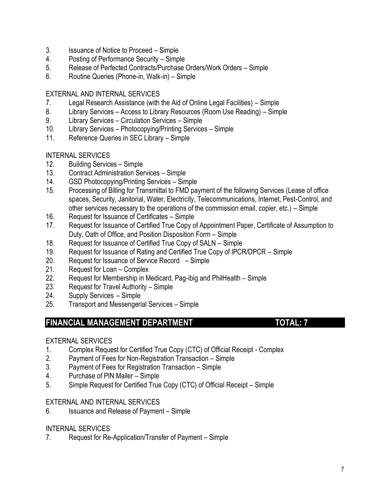- 3. Issuance of Notice to Proceed Simple
- 4. Posting of Performance Security Simple
- 5. Release of Perfected Contracts/Purchase Orders/Work Orders Simple
- 6. Routine Queries (Phone-in, Walk-in) Simple

#### EXTERNAL AND INTERNAL SERVICES

- 7. Legal Research Assistance (with the Aid of Online Legal Facilities) Simple
- 8. Library Services Access to Library Resources (Room Use Reading) Simple
- 9. Library Services Circulation Services Simple
- 10. Library Services Photocopying/Printing Services Simple
- 11. Reference Queries in SEC Library Simple

#### INTERNAL SERVICES

- 12. Building Services Simple
- 13. Contract Administration Services Simple
- 14. GSD Photocopying/Printing Services Simple
- 15. Processing of Billing for Transmittal to FMD payment of the following Services (Lease of office spaces, Security, Janitorial, Water, Electricity, Telecommunications, Internet, Pest-Control, and other services necessary to the operations of the commission email, copier, etc.) – Simple
- 16. Request for Issuance of Certificates Simple
- 17. Request for Issuance of Certified True Copy of Appointment Paper, Certificate of Assumption to Duty, Oath of Office, and Position Disposition Form – Simple
- 18. Request for Issuance of Certified True Copy of SALN Simple
- 19. Request for Issuance of Rating and Certified True Copy of IPCR/DPCR Simple
- 20. Request for Issuance of Service Record Simple
- 21. Request for Loan Complex
- 22. Request for Membership in Medicard, Pag-ibig and PhilHealth Simple
- 23. Request for Travel Authority Simple
- 24. Supply Services Simple
- 25. Transport and Messengerial Services Simple

# **FINANCIAL MANAGEMENT DEPARTMENT TOTAL: 7**

#### EXTERNAL SERVICES

- 1. Complex Request for Certified True Copy (CTC) of Official Receipt Complex
- 2. Payment of Fees for Non-Registration Transaction Simple
- 3. Payment of Fees for Registration Transaction Simple
- 4. Purchase of PIN Mailer Simple
- 5. Simple Request for Certified True Copy (CTC) of Official Receipt Simple

#### EXTERNAL AND INTERNAL SERVICES

6. Issuance and Release of Payment – Simple

#### INTERNAL SERVICES

7. Request for Re-Application/Transfer of Payment – Simple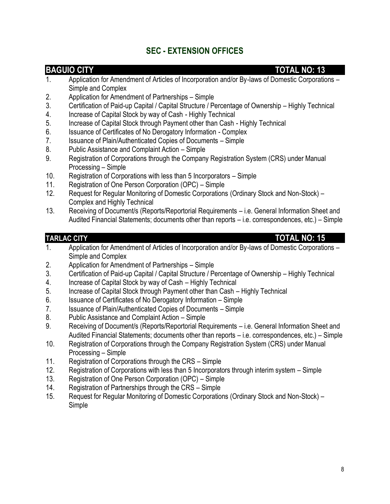# **SEC - EXTENSION OFFICES**

#### **BAGUIO CITY TOTAL NO: 13**

- 1. Application for Amendment of Articles of Incorporation and/or By-laws of Domestic Corporations Simple and Complex
- 2. Application for Amendment of Partnerships Simple
- 3. Certification of Paid-up Capital / Capital Structure / Percentage of Ownership Highly Technical
- 4. Increase of Capital Stock by way of Cash Highly Technical
- 5. Increase of Capital Stock through Payment other than Cash Highly Technical
- 6. Issuance of Certificates of No Derogatory Information Complex
- 7. Issuance of Plain/Authenticated Copies of Documents Simple
- 8. Public Assistance and Complaint Action Simple
- 9. Registration of Corporations through the Company Registration System (CRS) under Manual Processing – Simple
- 10. Registration of Corporations with less than 5 Incorporators Simple
- 11. Registration of One Person Corporation (OPC) Simple
- 12. Request for Regular Monitoring of Domestic Corporations (Ordinary Stock and Non-Stock) Complex and Highly Technical
- 13. Receiving of Document/s (Reports/Reportorial Requirements i.e. General Information Sheet and Audited Financial Statements; documents other than reports – i.e. correspondences, etc.) – Simple

### **TARLAC CITY TOTAL NO: 15**

- 1. Application for Amendment of Articles of Incorporation and/or By-laws of Domestic Corporations Simple and Complex
- 2. Application for Amendment of Partnerships Simple
- 3. Certification of Paid-up Capital / Capital Structure / Percentage of Ownership Highly Technical
- 4. Increase of Capital Stock by way of Cash Highly Technical
- 5. Increase of Capital Stock through Payment other than Cash Highly Technical
- 6. Issuance of Certificates of No Derogatory Information Simple
- 7. Issuance of Plain/Authenticated Copies of Documents Simple
- 8. Public Assistance and Complaint Action Simple
- 9. Receiving of Document/s (Reports/Reportorial Requirements i.e. General Information Sheet and Audited Financial Statements; documents other than reports – i.e. correspondences, etc.) – Simple
- 10. Registration of Corporations through the Company Registration System (CRS) under Manual Processing – Simple
- 11. Registration of Corporations through the CRS Simple
- 12. Registration of Corporations with less than 5 Incorporators through interim system Simple
- 13. Registration of One Person Corporation (OPC) Simple
- 14. Registration of Partnerships through the CRS Simple
- 15. Request for Regular Monitoring of Domestic Corporations (Ordinary Stock and Non-Stock) Simple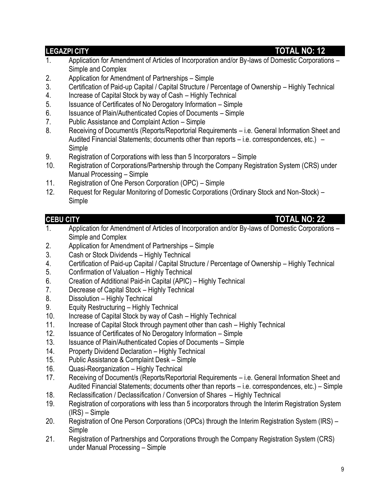### **LEGAZPI CITY TOTAL NO: 12**

- 1. Application for Amendment of Articles of Incorporation and/or By-laws of Domestic Corporations Simple and Complex
- 2. Application for Amendment of Partnerships Simple
- 3. Certification of Paid-up Capital / Capital Structure / Percentage of Ownership Highly Technical
- 4. Increase of Capital Stock by way of Cash Highly Technical
- 5. Issuance of Certificates of No Derogatory Information Simple
- 6. Issuance of Plain/Authenticated Copies of Documents Simple
- 7. Public Assistance and Complaint Action Simple
- 8. Receiving of Document/s (Reports/Reportorial Requirements i.e. General Information Sheet and Audited Financial Statements; documents other than reports – i.e. correspondences, etc.) – Simple
- 9. Registration of Corporations with less than 5 Incorporators Simple
- 10. Registration of Corporations/Partnership through the Company Registration System (CRS) under Manual Processing – Simple
- 11. Registration of One Person Corporation (OPC) Simple
- 12. Request for Regular Monitoring of Domestic Corporations (Ordinary Stock and Non-Stock) Simple

# **CEBU CITY TOTAL NO: 22**

- 1. Application for Amendment of Articles of Incorporation and/or By-laws of Domestic Corporations Simple and Complex
- 2. Application for Amendment of Partnerships Simple
- 3. Cash or Stock Dividends Highly Technical
- 4. Certification of Paid-up Capital / Capital Structure / Percentage of Ownership Highly Technical
- 5. Confirmation of Valuation Highly Technical
- 6. Creation of Additional Paid-in Capital (APIC) Highly Technical
- 7. Decrease of Capital Stock Highly Technical
- 8. Dissolution Highly Technical
- 9. Equity Restructuring Highly Technical
- 10. Increase of Capital Stock by way of Cash Highly Technical
- 11. Increase of Capital Stock through payment other than cash Highly Technical
- 12. Issuance of Certificates of No Derogatory Information Simple
- 13. Issuance of Plain/Authenticated Copies of Documents Simple
- 14. Property Dividend Declaration Highly Technical
- 15. Public Assistance & Complaint Desk Simple
- 16. Quasi-Reorganization Highly Technical
- 17. Receiving of Document/s (Reports/Reportorial Requirements i.e. General Information Sheet and Audited Financial Statements; documents other than reports – i.e. correspondences, etc.) – Simple
- 18. Reclassification / Declassification / Conversion of Shares Highly Technical
- 19. Registration of corporations with less than 5 incorporators through the Interim Registration System (IRS) – Simple
- 20. Registration of One Person Corporations (OPCs) through the Interim Registration System (IRS) Simple
- 21. Registration of Partnerships and Corporations through the Company Registration System (CRS) under Manual Processing – Simple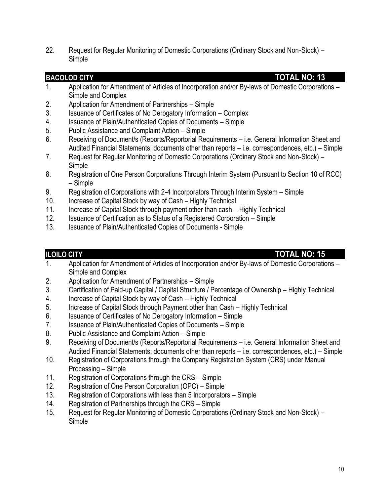22. Request for Regular Monitoring of Domestic Corporations (Ordinary Stock and Non-Stock) – Simple

### **BACOLOD CITY TOTAL NO: 13**

- 1. Application for Amendment of Articles of Incorporation and/or By-laws of Domestic Corporations Simple and Complex
- 2. Application for Amendment of Partnerships Simple
- 3. Issuance of Certificates of No Derogatory Information Complex
- 4. Issuance of Plain/Authenticated Copies of Documents Simple
- 5. Public Assistance and Complaint Action Simple
- 6. Receiving of Document/s (Reports/Reportorial Requirements i.e. General Information Sheet and Audited Financial Statements; documents other than reports – i.e. correspondences, etc.) – Simple
- 7. Request for Regular Monitoring of Domestic Corporations (Ordinary Stock and Non-Stock) Simple
- 8. Registration of One Person Corporations Through Interim System (Pursuant to Section 10 of RCC) – Simple
- 9. Registration of Corporations with 2-4 Incorporators Through Interim System Simple
- 10. Increase of Capital Stock by way of Cash Highly Technical
- 11. Increase of Capital Stock through payment other than cash Highly Technical
- 12. Issuance of Certification as to Status of a Registered Corporation Simple
- 13. Issuance of Plain/Authenticated Copies of Documents Simple

### **ILOILO CITY TOTAL NO: 15**

- 1. Application for Amendment of Articles of Incorporation and/or By-laws of Domestic Corporations Simple and Complex
- 2. Application for Amendment of Partnerships Simple
- 3. Certification of Paid-up Capital / Capital Structure / Percentage of Ownership Highly Technical
- 4. Increase of Capital Stock by way of Cash Highly Technical
- 5. Increase of Capital Stock through Payment other than Cash Highly Technical
- 6. Issuance of Certificates of No Derogatory Information Simple
- 7. Issuance of Plain/Authenticated Copies of Documents Simple
- 8. Public Assistance and Complaint Action Simple
- 9. Receiving of Document/s (Reports/Reportorial Requirements i.e. General Information Sheet and Audited Financial Statements; documents other than reports – i.e. correspondences, etc.) – Simple
- 10. Registration of Corporations through the Company Registration System (CRS) under Manual Processing – Simple
- 11. Registration of Corporations through the CRS Simple
- 12. Registration of One Person Corporation (OPC) Simple
- 13. Registration of Corporations with less than 5 Incorporators Simple
- 14. Registration of Partnerships through the CRS Simple
- 15. Request for Regular Monitoring of Domestic Corporations (Ordinary Stock and Non-Stock) Simple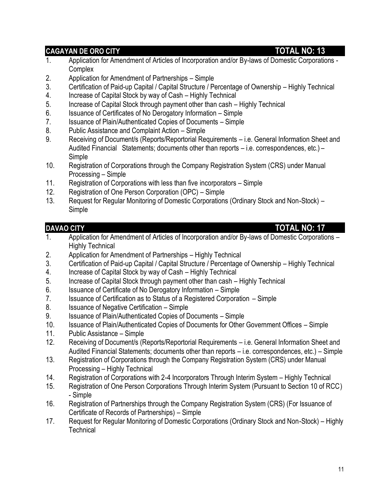### **CAGAYAN DE ORO CITY TOTAL NO: 13**

- 1. Application for Amendment of Articles of Incorporation and/or By-laws of Domestic Corporations Complex
- 2. Application for Amendment of Partnerships Simple
- 3. Certification of Paid-up Capital / Capital Structure / Percentage of Ownership Highly Technical
- 4. Increase of Capital Stock by way of Cash Highly Technical
- 5. Increase of Capital Stock through payment other than cash Highly Technical
- 6. Issuance of Certificates of No Derogatory Information Simple
- 7. Issuance of Plain/Authenticated Copies of Documents Simple
- 8. Public Assistance and Complaint Action Simple
- 9. Receiving of Document/s (Reports/Reportorial Requirements i.e. General Information Sheet and Audited Financial Statements; documents other than reports – i.e. correspondences, etc.) – Simple
- 10. Registration of Corporations through the Company Registration System (CRS) under Manual Processing – Simple
- 11. Registration of Corporations with less than five incorporators Simple
- 12. Registration of One Person Corporation (OPC) Simple
- 13. Request for Regular Monitoring of Domestic Corporations (Ordinary Stock and Non-Stock) **Simple**

### **DAVAO CITY TOTAL NO: 17**

- 1. Application for Amendment of Articles of Incorporation and/or By-laws of Domestic Corporations Highly Technical
- 2. Application for Amendment of Partnerships Highly Technical
- 3. Certification of Paid-up Capital / Capital Structure / Percentage of Ownership Highly Technical
- 4. Increase of Capital Stock by way of Cash Highly Technical
- 5. Increase of Capital Stock through payment other than cash Highly Technical
- 6. Issuance of Certificate of No Derogatory Information Simple
- 7. Issuance of Certification as to Status of a Registered Corporation Simple
- 8. Issuance of Negative Certification Simple
- 9. Issuance of Plain/Authenticated Copies of Documents Simple
- 10. Issuance of Plain/Authenticated Copies of Documents for Other Government Offices Simple
- 11. Public Assistance Simple
- 12. Receiving of Document/s (Reports/Reportorial Requirements i.e. General Information Sheet and Audited Financial Statements; documents other than reports – i.e. correspondences, etc.) – Simple
- 13. Registration of Corporations through the Company Registration System (CRS) under Manual Processing – Highly Technical
- 14. Registration of Corporations with 2-4 Incorporators Through Interim System Highly Technical
- 15. Registration of One Person Corporations Through Interim System (Pursuant to Section 10 of RCC) - Simple
- 16. Registration of Partnerships through the Company Registration System (CRS) (For Issuance of Certificate of Records of Partnerships) – Simple
- 17. Request for Regular Monitoring of Domestic Corporations (Ordinary Stock and Non-Stock) Highly **Technical**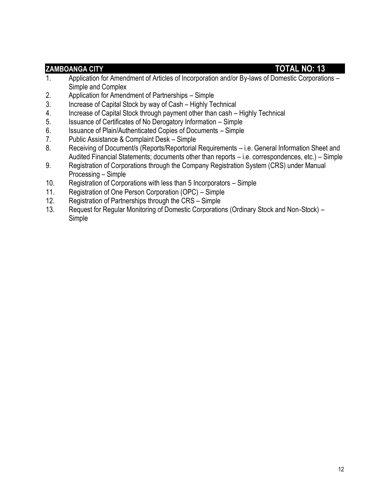#### **ZAMBOANGA CITY TOTAL NO: 13**

- 1. Application for Amendment of Articles of Incorporation and/or By-laws of Domestic Corporations Simple and Complex
- 2. Application for Amendment of Partnerships Simple
- 3. Increase of Capital Stock by way of Cash Highly Technical
- 4. Increase of Capital Stock through payment other than cash Highly Technical
- 5. Issuance of Certificates of No Derogatory Information Simple
- 6. Issuance of Plain/Authenticated Copies of Documents Simple
- 7. Public Assistance & Complaint Desk Simple
- 8. Receiving of Document/s (Reports/Reportorial Requirements i.e. General Information Sheet and Audited Financial Statements; documents other than reports – i.e. correspondences, etc.) – Simple
- 9. Registration of Corporations through the Company Registration System (CRS) under Manual Processing – Simple
- 10. Registration of Corporations with less than 5 Incorporators Simple
- 11. Registration of One Person Corporation (OPC) Simple
- 12. Registration of Partnerships through the CRS Simple
- 13. Request for Regular Monitoring of Domestic Corporations (Ordinary Stock and Non-Stock) Simple